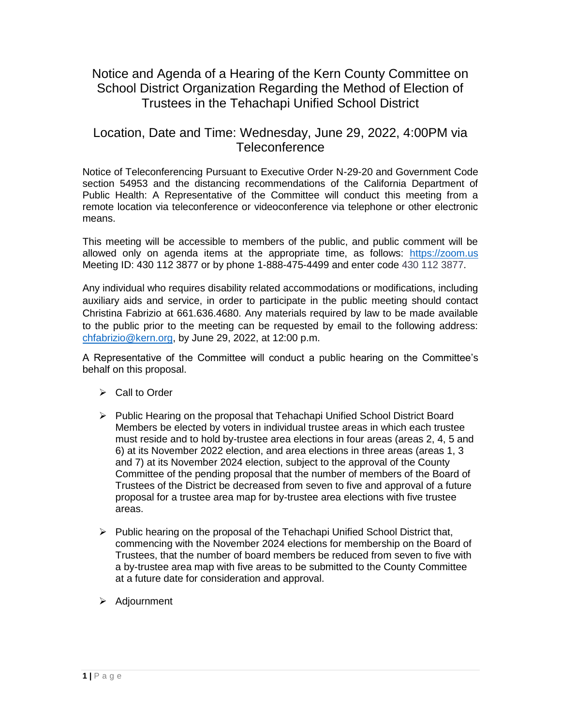## Notice and Agenda of a Hearing of the Kern County Committee on School District Organization Regarding the Method of Election of Trustees in the Tehachapi Unified School District

#### Location, Date and Time: Wednesday, June 29, 2022, 4:00PM via **Teleconference**

Notice of Teleconferencing Pursuant to Executive Order N-29-20 and Government Code section 54953 and the distancing recommendations of the California Department of Public Health: A Representative of the Committee will conduct this meeting from a remote location via teleconference or videoconference via telephone or other electronic means.

This meeting will be accessible to members of the public, and public comment will be allowed only on agenda items at the appropriate time, as follows: [https://zoom.us](https://zoom.us/) Meeting ID: 430 112 3877 or by phone 1-888-475-4499 and enter code 430 112 3877.

Any individual who requires disability related accommodations or modifications, including auxiliary aids and service, in order to participate in the public meeting should contact Christina Fabrizio at 661.636.4680. Any materials required by law to be made available to the public prior to the meeting can be requested by email to the following address: [chfabrizio@kern.org,](mailto:chfabrizio@kern.org) by June 29, 2022, at 12:00 p.m.

A Representative of the Committee will conduct a public hearing on the Committee's behalf on this proposal.

- ➢ Call to Order
- ➢ Public Hearing on the proposal that Tehachapi Unified School District Board Members be elected by voters in individual trustee areas in which each trustee must reside and to hold by-trustee area elections in four areas (areas 2, 4, 5 and 6) at its November 2022 election, and area elections in three areas (areas 1, 3 and 7) at its November 2024 election, subject to the approval of the County Committee of the pending proposal that the number of members of the Board of Trustees of the District be decreased from seven to five and approval of a future proposal for a trustee area map for by-trustee area elections with five trustee areas.
- $\triangleright$  Public hearing on the proposal of the Tehachapi Unified School District that, commencing with the November 2024 elections for membership on the Board of Trustees, that the number of board members be reduced from seven to five with a by-trustee area map with five areas to be submitted to the County Committee at a future date for consideration and approval.
- ➢ Adjournment